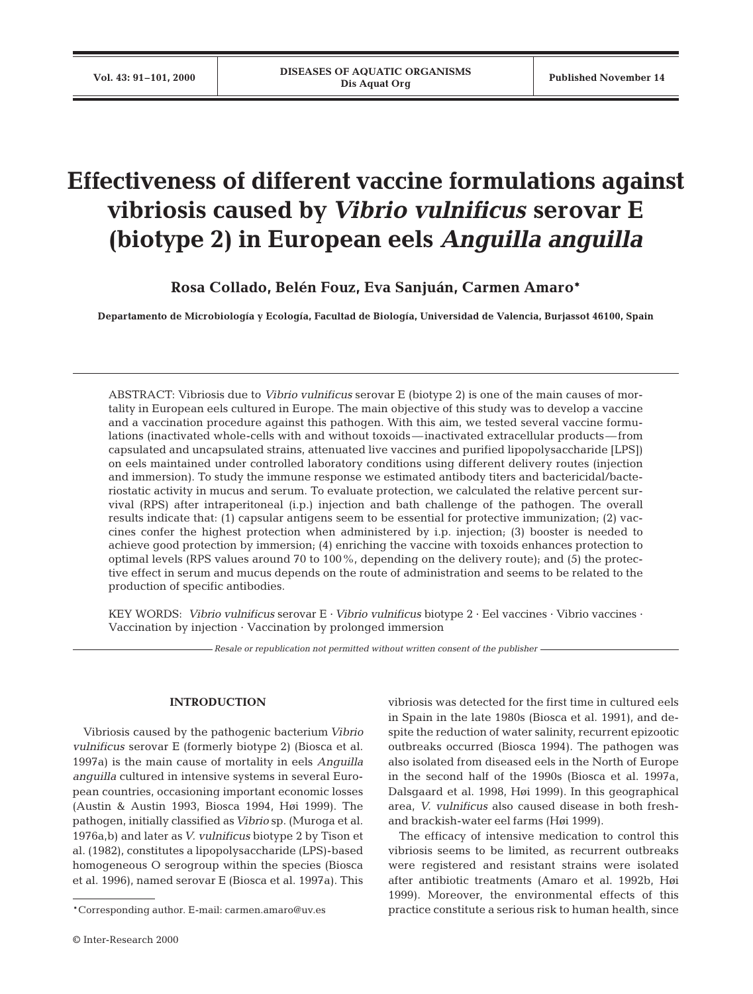# **Effectiveness of different vaccine formulations against vibriosis caused by** *Vibrio vulnificus* **serovar E (biotype 2) in European eels** *Anguilla anguilla*

**Rosa Collado, Belén Fouz, Eva Sanjuán, Carmen Amaro\***

**Departamento de Microbiología y Ecología, Facultad de Biología, Universidad de Valencia, Burjassot 46100, Spain**

ABSTRACT: Vibriosis due to *Vibrio vulnificus* serovar E (biotype 2) is one of the main causes of mortality in European eels cultured in Europe. The main objective of this study was to develop a vaccine and a vaccination procedure against this pathogen. With this aim, we tested several vaccine formulations (inactivated whole-cells with and without toxoids—inactivated extracellular products—from capsulated and uncapsulated strains, attenuated live vaccines and purified lipopolysaccharide [LPS]) on eels maintained under controlled laboratory conditions using different delivery routes (injection and immersion). To study the immune response we estimated antibody titers and bactericidal/bacteriostatic activity in mucus and serum. To evaluate protection, we calculated the relative percent survival (RPS) after intraperitoneal (i.p.) injection and bath challenge of the pathogen. The overall results indicate that: (1) capsular antigens seem to be essential for protective immunization; (2) vaccines confer the highest protection when administered by i.p. injection; (3) booster is needed to achieve good protection by immersion; (4) enriching the vaccine with toxoids enhances protection to optimal levels (RPS values around 70 to 100%, depending on the delivery route); and (5) the protective effect in serum and mucus depends on the route of administration and seems to be related to the production of specific antibodies.

KEY WORDS: *Vibrio vulnificus* serovar E · *Vibrio vulnificus* biotype 2 · Eel vaccines · Vibrio vaccines · Vaccination by injection · Vaccination by prolonged immersion

*Resale or republication not permitted without written consent of the publisher*

# **INTRODUCTION**

Vibriosis caused by the pathogenic bacterium *Vibrio vulnificus* serovar E (formerly biotype 2) (Biosca et al. 1997a) is the main cause of mortality in eels *Anguilla anguilla* cultured in intensive systems in several European countries, occasioning important economic losses (Austin & Austin 1993, Biosca 1994, Høi 1999). The pathogen, initially classified as*Vibrio* sp. (Muroga et al. 1976a,b) and later as*V. vulnificus* biotype 2 by Tison et al. (1982), constitutes a lipopolysaccharide (LPS)-based homogeneous O serogroup within the species (Biosca et al. 1996), named serovar E (Biosca et al. 1997a). This

vibriosis was detected for the first time in cultured eels in Spain in the late 1980s (Biosca et al. 1991), and despite the reduction of water salinity, recurrent epizootic outbreaks occurred (Biosca 1994). The pathogen was also isolated from diseased eels in the North of Europe in the second half of the 1990s (Biosca et al. 1997a, Dalsgaard et al. 1998, Høi 1999). In this geographical area, *V. vulnificus* also caused disease in both freshand brackish-water eel farms (Høi 1999).

The efficacy of intensive medication to control this vibriosis seems to be limited, as recurrent outbreaks were registered and resistant strains were isolated after antibiotic treatments (Amaro et al. 1992b, Høi 1999). Moreover, the environmental effects of this practice constitute a serious risk to human health, since

<sup>\*</sup>Corresponding author. E-mail: carmen.amaro@uv.es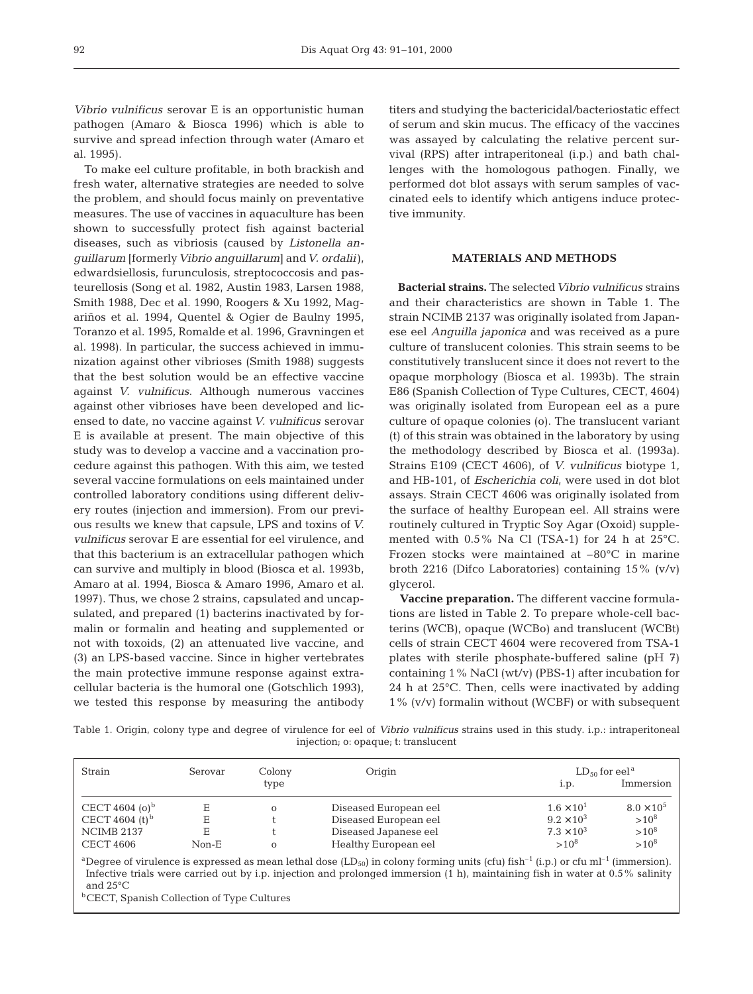*Vibrio vulnificus* serovar E is an opportunistic human pathogen (Amaro & Biosca 1996) which is able to survive and spread infection through water (Amaro et al. 1995).

To make eel culture profitable, in both brackish and fresh water, alternative strategies are needed to solve the problem, and should focus mainly on preventative measures. The use of vaccines in aquaculture has been shown to successfully protect fish against bacterial diseases, such as vibriosis (caused by *Listonella anguillarum* [formerly*Vibrio anguillarum*] and*V. ordalii*), edwardsiellosis, furunculosis, streptococcosis and pasteurellosis (Song et al. 1982, Austin 1983, Larsen 1988, Smith 1988, Dec et al. 1990, Roogers & Xu 1992, Magariños et al. 1994, Quentel & Ogier de Baulny 1995, Toranzo et al. 1995, Romalde et al. 1996, Gravningen et al. 1998). In particular, the success achieved in immunization against other vibrioses (Smith 1988) suggests that the best solution would be an effective vaccine against *V. vulnificus*. Although numerous vaccines against other vibrioses have been developed and licensed to date, no vaccine against *V. vulnificus* serovar E is available at present. The main objective of this study was to develop a vaccine and a vaccination procedure against this pathogen. With this aim, we tested several vaccine formulations on eels maintained under controlled laboratory conditions using different delivery routes (injection and immersion). From our previous results we knew that capsule, LPS and toxins of *V. vulnificus* serovar E are essential for eel virulence, and that this bacterium is an extracellular pathogen which can survive and multiply in blood (Biosca et al. 1993b, Amaro at al. 1994, Biosca & Amaro 1996, Amaro et al. 1997). Thus, we chose 2 strains, capsulated and uncapsulated, and prepared (1) bacterins inactivated by formalin or formalin and heating and supplemented or not with toxoids, (2) an attenuated live vaccine, and (3) an LPS-based vaccine. Since in higher vertebrates the main protective immune response against extracellular bacteria is the humoral one (Gotschlich 1993), we tested this response by measuring the antibody titers and studying the bactericidal/bacteriostatic effect of serum and skin mucus. The efficacy of the vaccines was assayed by calculating the relative percent survival (RPS) after intraperitoneal (i.p.) and bath challenges with the homologous pathogen. Finally, we performed dot blot assays with serum samples of vaccinated eels to identify which antigens induce protective immunity.

# **MATERIALS AND METHODS**

**Bacterial strains.** The selected*Vibrio vulnificus* strains and their characteristics are shown in Table 1. The strain NCIMB 2137 was originally isolated from Japanese eel *Anguilla japonica* and was received as a pure culture of translucent colonies. This strain seems to be constitutively translucent since it does not revert to the opaque morphology (Biosca et al. 1993b). The strain E86 (Spanish Collection of Type Cultures, CECT, 4604) was originally isolated from European eel as a pure culture of opaque colonies (o). The translucent variant (t) of this strain was obtained in the laboratory by using the methodology described by Biosca et al. (1993a). Strains E109 (CECT 4606), of *V. vulnificus* biotype 1, and HB-101, of *Escherichia coli*, were used in dot blot assays. Strain CECT 4606 was originally isolated from the surface of healthy European eel. All strains were routinely cultured in Tryptic Soy Agar (Oxoid) supplemented with 0.5% Na Cl (TSA-1) for 24 h at 25°C. Frozen stocks were maintained at –80°C in marine broth 2216 (Difco Laboratories) containing 15% (v/v) glycerol.

**Vaccine preparation.** The different vaccine formulations are listed in Table 2. To prepare whole-cell bacterins (WCB), opaque (WCBo) and translucent (WCBt) cells of strain CECT 4604 were recovered from TSA-1 plates with sterile phosphate-buffered saline (pH 7) containing 1% NaCl (wt/v) (PBS-1) after incubation for 24 h at 25°C. Then, cells were inactivated by adding 1% (v/v) formalin without (WCBF) or with subsequent

Table 1. Origin, colony type and degree of virulence for eel of *Vibrio vulnificus* strains used in this study. i.p.: intraperitoneal injection; o: opaque; t: translucent

| Strain                     | Serovar | Colony       | Origin                | $LD_{50}$ for eel <sup>a</sup> |                     |
|----------------------------|---------|--------------|-----------------------|--------------------------------|---------------------|
|                            |         | type         |                       | 1.p.                           | Immersion           |
| CECT 4604 (o) <sup>b</sup> | Е       | $\mathbf{O}$ | Diseased European eel | $1.6 \times 10^{1}$            | $8.0 \times 10^{5}$ |
| CECT 4604 (t) <sup>b</sup> | Е       |              | Diseased European eel | $9.2 \times 10^{3}$            | $>10^8$             |
| NCIMB 2137                 | Е       |              | Diseased Japanese eel | $7.3 \times 10^{3}$            | $>10^8$             |
| <b>CECT 4606</b>           | Non-E   | $\mathbf{O}$ | Healthy European eel  | $>10^8$                        | $>10^8$             |

<sup>a</sup>Degree of virulence is expressed as mean lethal dose (LD<sub>50</sub>) in colony forming units (cfu) fish<sup>-1</sup> (i.p.) or cfu ml<sup>-1</sup> (immersion). Infective trials were carried out by i.p. injection and prolonged immersion (1 h), maintaining fish in water at 0.5% salinity and 25°C

**bCECT**, Spanish Collection of Type Cultures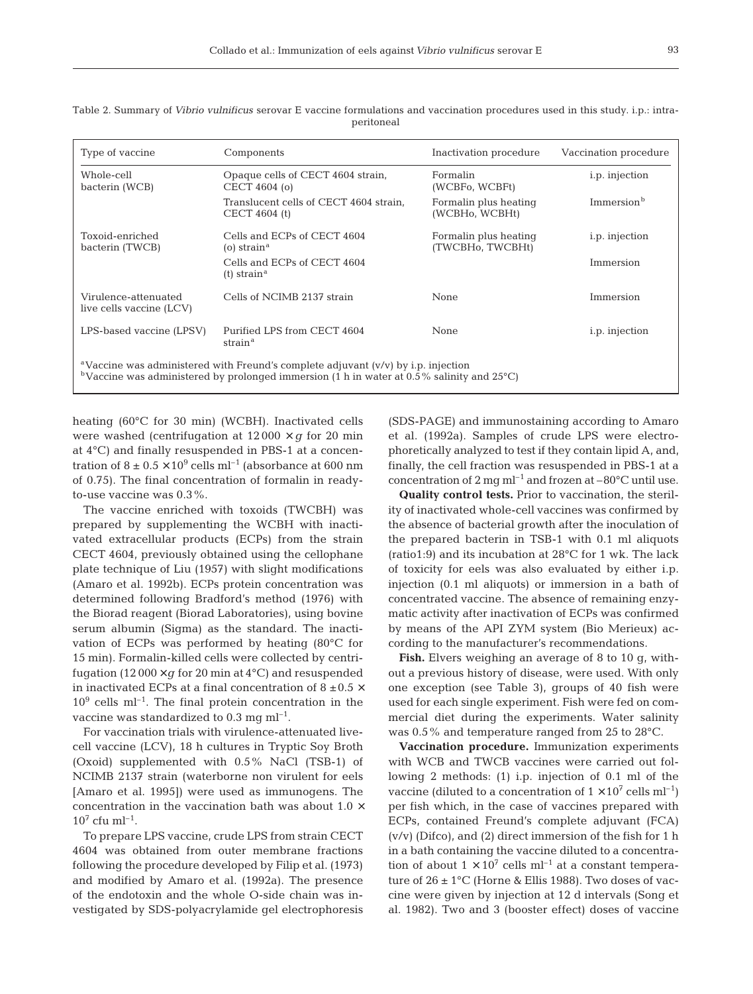| Type of vaccine                                                                                                                                                                                           | Components                                               | Inactivation procedure                    | Vaccination procedure  |  |
|-----------------------------------------------------------------------------------------------------------------------------------------------------------------------------------------------------------|----------------------------------------------------------|-------------------------------------------|------------------------|--|
| Whole-cell<br>bacterin (WCB)                                                                                                                                                                              | Opaque cells of CECT 4604 strain,<br>CECT 4604 (o)       | Formalin<br>(WCBFo, WCBFt)                | <i>i.p.</i> injection  |  |
|                                                                                                                                                                                                           | Translucent cells of CECT 4604 strain,<br>CECT 4604 (t)  | Formalin plus heating<br>(WCBHo, WCBHt)   | Immersion <sup>b</sup> |  |
| Toxoid-enriched<br>bacterin (TWCB)                                                                                                                                                                        | Cells and ECPs of CECT 4604<br>(o) strain $^{\rm a}$     | Formalin plus heating<br>(TWCBHo, TWCBHt) | <i>i.p.</i> injection  |  |
|                                                                                                                                                                                                           | Cells and ECPs of CECT 4604<br>$(t)$ strain <sup>a</sup> |                                           | Immersion              |  |
| Virulence-attenuated<br>live cells vaccine (LCV)                                                                                                                                                          | Cells of NCIMB 2137 strain                               | None                                      | Immersion              |  |
| LPS-based vaccine (LPSV)                                                                                                                                                                                  | Purified LPS from CECT 4604<br>strain <sup>a</sup>       | None                                      | <i>i.p.</i> injection  |  |
| <sup>a</sup> Vaccine was administered with Freund's complete adjuvant $(v/v)$ by i.p. injection<br><sup>b</sup> Vaccine was administered by prolonged immersion (1 h in water at 0.5% salinity and 25 °C) |                                                          |                                           |                        |  |

Table 2. Summary of *Vibrio vulnificus* serovar E vaccine formulations and vaccination procedures used in this study. i.p.: intraperitoneal

heating (60°C for 30 min) (WCBH). Inactivated cells were washed (centrifugation at  $12\,000 \times q$  for 20 min at 4°C) and finally resuspended in PBS-1 at a concentration of  $8 \pm 0.5 \times 10^9$  cells ml<sup>-1</sup> (absorbance at 600 nm of 0.75). The final concentration of formalin in readyto-use vaccine was 0.3%.

The vaccine enriched with toxoids (TWCBH) was prepared by supplementing the WCBH with inactivated extracellular products (ECPs) from the strain CECT 4604, previously obtained using the cellophane plate technique of Liu (1957) with slight modifications (Amaro et al. 1992b). ECPs protein concentration was determined following Bradford's method (1976) with the Biorad reagent (Biorad Laboratories), using bovine serum albumin (Sigma) as the standard. The inactivation of ECPs was performed by heating (80°C for 15 min). Formalin-killed cells were collected by centrifugation  $(12000 \times g$  for 20 min at  $4^{\circ}$ C) and resuspended in inactivated ECPs at a final concentration of 8  $\pm 0.5 \times$  $10<sup>9</sup>$  cells ml<sup>-1</sup>. The final protein concentration in the vaccine was standardized to  $0.3 \text{ mg} \text{ ml}^{-1}$ .

For vaccination trials with virulence-attenuated livecell vaccine (LCV), 18 h cultures in Tryptic Soy Broth (Oxoid) supplemented with 0.5% NaCl (TSB-1) of NCIMB 2137 strain (waterborne non virulent for eels [Amaro et al. 1995]) were used as immunogens. The concentration in the vaccination bath was about 1.0  $\times$  $10^7$  cfu ml<sup>-1</sup>.

To prepare LPS vaccine, crude LPS from strain CECT 4604 was obtained from outer membrane fractions following the procedure developed by Filip et al. (1973) and modified by Amaro et al. (1992a). The presence of the endotoxin and the whole O-side chain was investigated by SDS-polyacrylamide gel electrophoresis (SDS-PAGE) and immunostaining according to Amaro et al. (1992a). Samples of crude LPS were electrophoretically analyzed to test if they contain lipid A, and, finally, the cell fraction was resuspended in PBS-1 at a concentration of  $2 \text{ mg m}^{-1}$  and frozen at  $-80^{\circ}$ C until use.

**Quality control tests.** Prior to vaccination, the sterility of inactivated whole-cell vaccines was confirmed by the absence of bacterial growth after the inoculation of the prepared bacterin in TSB-1 with 0.1 ml aliquots (ratio1:9) and its incubation at 28°C for 1 wk. The lack of toxicity for eels was also evaluated by either i.p. injection (0.1 ml aliquots) or immersion in a bath of concentrated vaccine. The absence of remaining enzymatic activity after inactivation of ECPs was confirmed by means of the API ZYM system (Bio Merieux) according to the manufacturer's recommendations.

**Fish.** Elvers weighing an average of 8 to 10 g, without a previous history of disease, were used. With only one exception (see Table 3), groups of 40 fish were used for each single experiment. Fish were fed on commercial diet during the experiments. Water salinity was 0.5% and temperature ranged from 25 to 28°C.

**Vaccination procedure.** Immunization experiments with WCB and TWCB vaccines were carried out following 2 methods: (1) i.p. injection of 0.1 ml of the vaccine (diluted to a concentration of  $1 \times 10^7$  cells ml<sup>-1</sup>) per fish which, in the case of vaccines prepared with ECPs, contained Freund's complete adjuvant (FCA) (v/v) (Difco), and (2) direct immersion of the fish for 1 h in a bath containing the vaccine diluted to a concentration of about  $1 \times 10^7$  cells ml<sup>-1</sup> at a constant temperature of 26 ± 1°C (Horne & Ellis 1988). Two doses of vaccine were given by injection at 12 d intervals (Song et al. 1982). Two and 3 (booster effect) doses of vaccine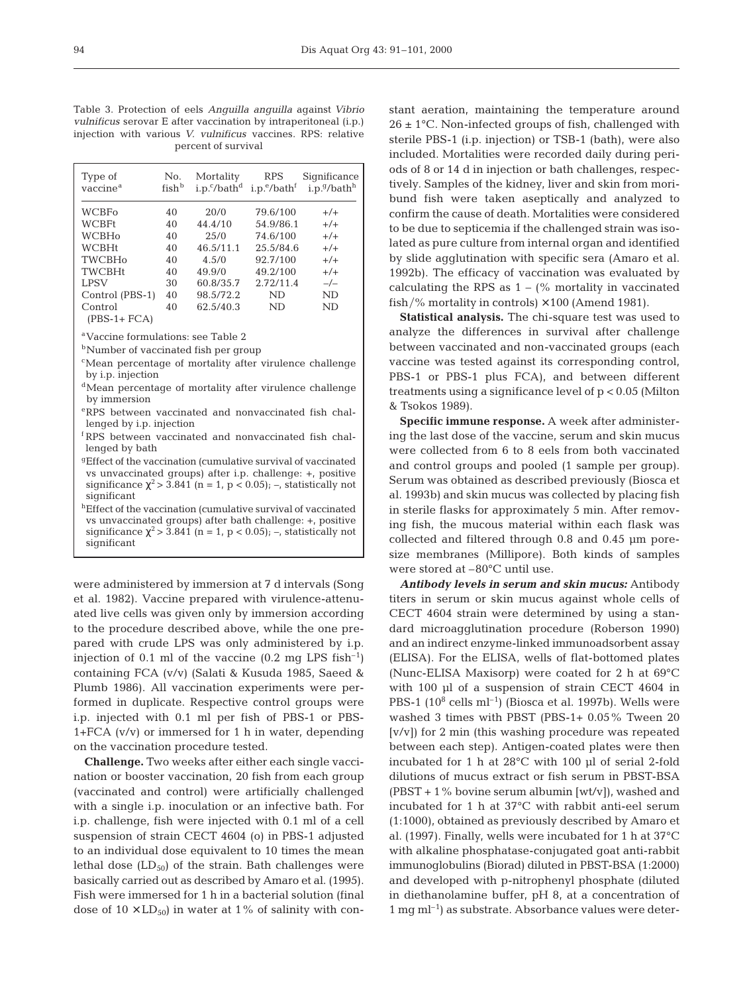Table 3. Protection of eels *Anguilla anguilla* against *Vibrio vulnificus* serovar E after vaccination by intraperitoneal (i.p.) injection with various *V. vulnificus* vaccines. RPS: relative percent of survival

| Type of<br>vaccine <sup>a</sup> | No.<br>fish <sup>b</sup> | Mortality<br>$i.p.^c/bath^d$ | <b>RPS</b><br>i.p. <sup>e</sup> /bath <sup>f</sup> | Significance<br>i.p.9/bath <sup>h</sup> |
|---------------------------------|--------------------------|------------------------------|----------------------------------------------------|-----------------------------------------|
| WCBFo                           | 40                       | 20/0                         | 79.6/100                                           | $+/-$                                   |
| <b>WCBFt</b>                    | 40                       | 44.4/10                      | 54.9/86.1                                          | $+/-$                                   |
| <b>WCBHo</b>                    | 40                       | 25/0                         | 74.6/100                                           | $+/-$                                   |
| <b>WCBHt</b>                    | 40                       | 46.5/11.1                    | 25.5/84.6                                          | $+/-$                                   |
| <b>TWCBHo</b>                   | 40                       | 4.5/0                        | 92.7/100                                           | $+/-$                                   |
| <b>TWCBHt</b>                   | 40                       | 49.9/0                       | 49.2/100                                           | $+/-$                                   |
| <b>LPSV</b>                     | 30                       | 60.8/35.7                    | 2.72/11.4                                          | $-/-$                                   |
| Control (PBS-1)                 | 40                       | 98.5/72.2                    | ND                                                 | ND                                      |
| Control                         | 40                       | 62.5/40.3                    | <b>ND</b>                                          | ND                                      |
| $(PBS-1 + FCA)$                 |                          |                              |                                                    |                                         |

aVaccine formulations: see Table 2

**b**Number of vaccinated fish per group

- <sup>c</sup>Mean percentage of mortality after virulence challenge by i.p. injection
- <sup>d</sup>Mean percentage of mortality after virulence challenge by immersion
- eRPS between vaccinated and nonvaccinated fish challenged by i.p. injection
- <sup>f</sup> RPS between vaccinated and nonvaccinated fish challenged by bath
- gEffect of the vaccination (cumulative survival of vaccinated vs unvaccinated groups) after i.p. challenge: +, positive significance  $\chi^2$  > 3.841 (n = 1, p < 0.05); –, statistically not significant
- hEffect of the vaccination (cumulative survival of vaccinated vs unvaccinated groups) after bath challenge: +, positive significance  $\chi^2$  > 3.841 (n = 1, p < 0.05); –, statistically not significant

were administered by immersion at 7 d intervals (Song et al. 1982). Vaccine prepared with virulence-attenuated live cells was given only by immersion according to the procedure described above, while the one prepared with crude LPS was only administered by i.p. injection of 0.1 ml of the vaccine  $(0.2 \text{ mg LPS fish}^{-1})$ containing FCA (v/v) (Salati & Kusuda 1985, Saeed & Plumb 1986). All vaccination experiments were performed in duplicate. Respective control groups were i.p. injected with 0.1 ml per fish of PBS-1 or PBS-1+FCA (v/v) or immersed for 1 h in water, depending on the vaccination procedure tested.

**Challenge.** Two weeks after either each single vaccination or booster vaccination, 20 fish from each group (vaccinated and control) were artificially challenged with a single i.p. inoculation or an infective bath. For i.p. challenge, fish were injected with 0.1 ml of a cell suspension of strain CECT 4604 (o) in PBS-1 adjusted to an individual dose equivalent to 10 times the mean lethal dose  $(LD_{50})$  of the strain. Bath challenges were basically carried out as described by Amaro et al. (1995). Fish were immersed for 1 h in a bacterial solution (final dose of  $10 \times LD_{50}$  in water at 1% of salinity with constant aeration, maintaining the temperature around  $26 \pm 1$ °C. Non-infected groups of fish, challenged with sterile PBS-1 (i.p. injection) or TSB-1 (bath), were also included. Mortalities were recorded daily during periods of 8 or 14 d in injection or bath challenges, respectively. Samples of the kidney, liver and skin from moribund fish were taken aseptically and analyzed to confirm the cause of death. Mortalities were considered to be due to septicemia if the challenged strain was isolated as pure culture from internal organ and identified by slide agglutination with specific sera (Amaro et al. 1992b). The efficacy of vaccination was evaluated by calculating the RPS as  $1 - (\%$  mortality in vaccinated fish/% mortality in controls)  $\times$  100 (Amend 1981).

**Statistical analysis.** The chi-square test was used to analyze the differences in survival after challenge between vaccinated and non-vaccinated groups (each vaccine was tested against its corresponding control, PBS-1 or PBS-1 plus FCA), and between different treatments using a significance level of p < 0.05 (Milton & Tsokos 1989).

**Specific immune response.** A week after administering the last dose of the vaccine, serum and skin mucus were collected from 6 to 8 eels from both vaccinated and control groups and pooled (1 sample per group). Serum was obtained as described previously (Biosca et al. 1993b) and skin mucus was collected by placing fish in sterile flasks for approximately 5 min. After removing fish, the mucous material within each flask was collected and filtered through 0.8 and 0.45 µm poresize membranes (Millipore). Both kinds of samples were stored at –80°C until use.

*Antibody levels in serum and skin mucus:* Antibody titers in serum or skin mucus against whole cells of CECT 4604 strain were determined by using a standard microagglutination procedure (Roberson 1990) and an indirect enzyme-linked immunoadsorbent assay (ELISA). For the ELISA, wells of flat-bottomed plates (Nunc-ELISA Maxisorp) were coated for 2 h at 69°C with 100 µl of a suspension of strain CECT 4604 in PBS-1  $(10^8 \text{ cells m}^{-1})$  (Biosca et al. 1997b). Wells were washed 3 times with PBST (PBS-1+ 0.05% Tween 20 [v/v]) for 2 min (this washing procedure was repeated between each step). Antigen-coated plates were then incubated for 1 h at 28°C with 100 µl of serial 2-fold dilutions of mucus extract or fish serum in PBST-BSA (PBST + 1% bovine serum albumin [wt/v]), washed and incubated for 1 h at 37°C with rabbit anti-eel serum (1:1000), obtained as previously described by Amaro et al. (1997). Finally, wells were incubated for 1 h at 37°C with alkaline phosphatase-conjugated goat anti-rabbit immunoglobulins (Biorad) diluted in PBST-BSA (1:2000) and developed with p-nitrophenyl phosphate (diluted in diethanolamine buffer, pH 8, at a concentration of  $1 \text{ mg ml}^{-1}$  as substrate. Absorbance values were deter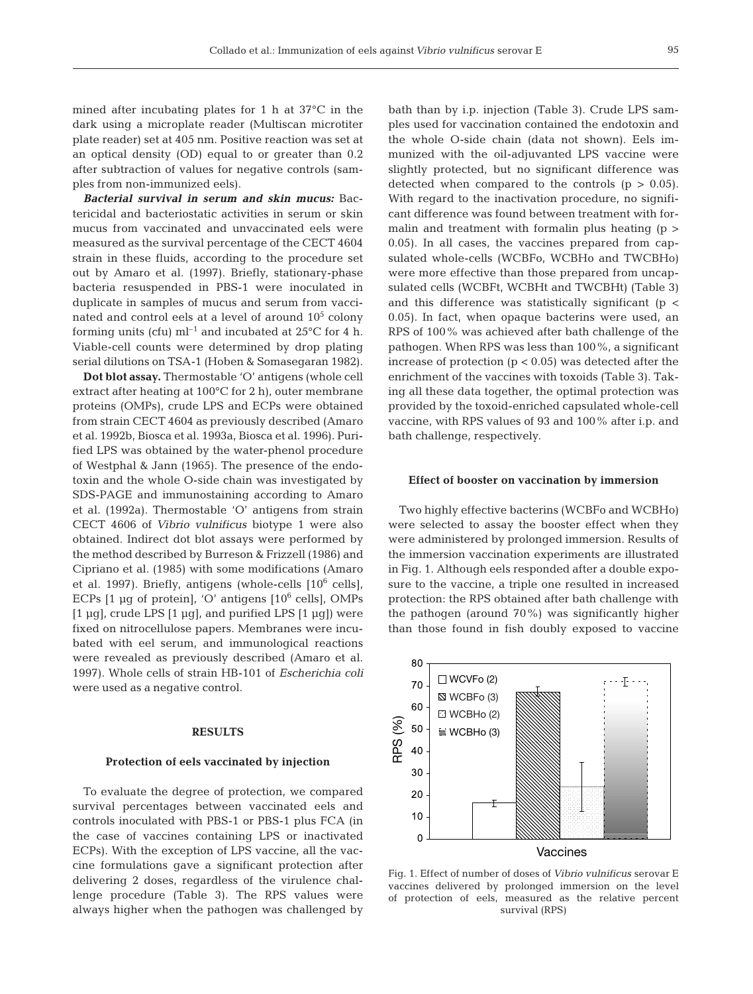mined after incubating plates for 1 h at 37°C in the dark using a microplate reader (Multiscan microtiter plate reader) set at 405 nm. Positive reaction was set at an optical density (OD) equal to or greater than 0.2 after subtraction of values for negative controls (samples from non-immunized eels).

*Bacterial survival in serum and skin mucus:* Bactericidal and bacteriostatic activities in serum or skin mucus from vaccinated and unvaccinated eels were measured as the survival percentage of the CECT 4604 strain in these fluids, according to the procedure set out by Amaro et al. (1997). Briefly, stationary-phase bacteria resuspended in PBS-1 were inoculated in duplicate in samples of mucus and serum from vaccinated and control eels at a level of around  $10<sup>5</sup>$  colony forming units (cfu)  $ml^{-1}$  and incubated at 25°C for 4 h. Viable-cell counts were determined by drop plating serial dilutions on TSA-1 (Hoben & Somasegaran 1982).

**Dot blot assay.** Thermostable 'O' antigens (whole cell extract after heating at 100°C for 2 h), outer membrane proteins (OMPs), crude LPS and ECPs were obtained from strain CECT 4604 as previously described (Amaro et al. 1992b, Biosca et al. 1993a, Biosca et al. 1996). Purified LPS was obtained by the water-phenol procedure of Westphal & Jann (1965). The presence of the endotoxin and the whole O-side chain was investigated by SDS-PAGE and immunostaining according to Amaro et al. (1992a). Thermostable 'O' antigens from strain CECT 4606 of *Vibrio vulnificus* biotype 1 were also obtained. Indirect dot blot assays were performed by the method described by Burreson & Frizzell (1986) and Cipriano et al. (1985) with some modifications (Amaro et al. 1997). Briefly, antigens (whole-cells  $[10^6 \text{ cells}]$ , ECPs  $[1 \text{ µq of protein}]$ , 'O' antigens  $[10^6 \text{ cells}]$ , OMPs [1  $\mu$ g], crude LPS [1  $\mu$ g], and purified LPS [1  $\mu$ g]) were fixed on nitrocellulose papers. Membranes were incubated with eel serum, and immunological reactions were revealed as previously described (Amaro et al. 1997). Whole cells of strain HB-101 of *Escherichia coli* were used as a negative control.

#### **RESULTS**

#### **Protection of eels vaccinated by injection**

To evaluate the degree of protection, we compared survival percentages between vaccinated eels and controls inoculated with PBS-1 or PBS-1 plus FCA (in the case of vaccines containing LPS or inactivated ECPs). With the exception of LPS vaccine, all the vaccine formulations gave a significant protection after delivering 2 doses, regardless of the virulence challenge procedure (Table 3). The RPS values were always higher when the pathogen was challenged by bath than by i.p. injection (Table 3). Crude LPS samples used for vaccination contained the endotoxin and the whole O-side chain (data not shown). Eels immunized with the oil-adjuvanted LPS vaccine were slightly protected, but no significant difference was detected when compared to the controls  $(p > 0.05)$ . With regard to the inactivation procedure, no significant difference was found between treatment with formalin and treatment with formalin plus heating  $(p >$ 0.05). In all cases, the vaccines prepared from capsulated whole-cells (WCBFo, WCBHo and TWCBHo) were more effective than those prepared from uncapsulated cells (WCBFt, WCBHt and TWCBHt) (Table 3) and this difference was statistically significant ( $p <$ 0.05). In fact, when opaque bacterins were used, an RPS of 100% was achieved after bath challenge of the pathogen. When RPS was less than 100%, a significant increase of protection  $(p < 0.05)$  was detected after the enrichment of the vaccines with toxoids (Table 3). Taking all these data together, the optimal protection was provided by the toxoid-enriched capsulated whole-cell vaccine, with RPS values of 93 and 100% after i.p. and bath challenge, respectively.

#### **Effect of booster on vaccination by immersion**

Two highly effective bacterins (WCBFo and WCBHo) were selected to assay the booster effect when they were administered by prolonged immersion. Results of the immersion vaccination experiments are illustrated in Fig. 1. Although eels responded after a double exposure to the vaccine, a triple one resulted in increased protection: the RPS obtained after bath challenge with the pathogen (around 70%) was significantly higher than those found in fish doubly exposed to vaccine



Fig. 1. Effect of number of doses of *Vibrio vulnificus* serovar E vaccines delivered by prolonged immersion on the level of protection of eels, measured as the relative percent survival (RPS)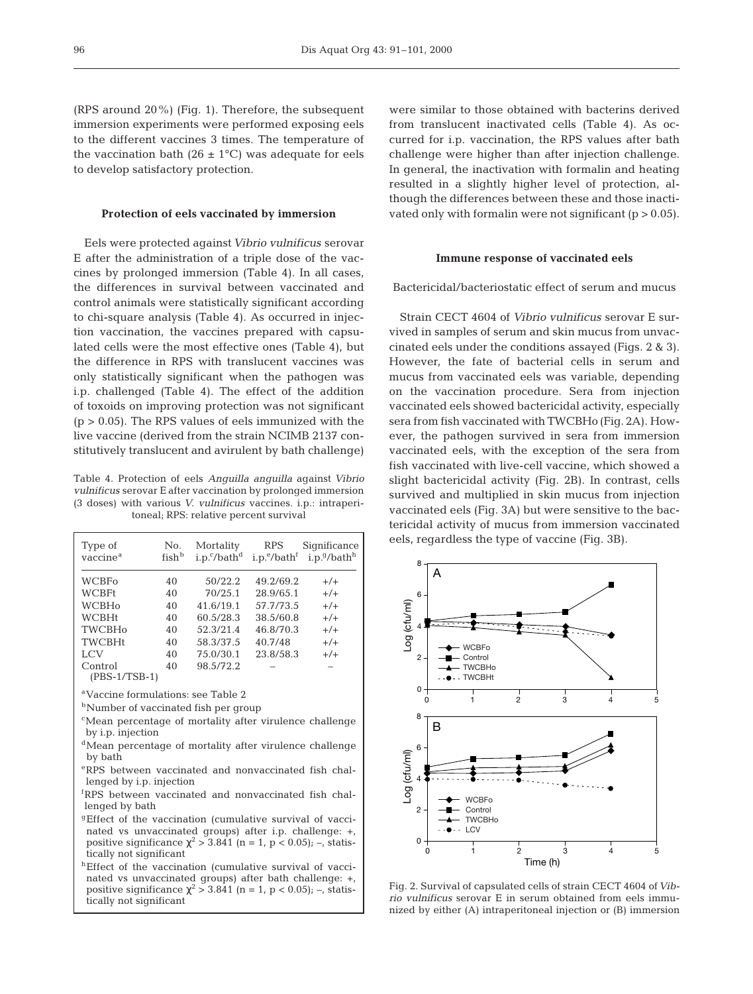(RPS around 20%) (Fig. 1). Therefore, the subsequent immersion experiments were performed exposing eels to the different vaccines 3 times. The temperature of the vaccination bath (26  $\pm$  1°C) was adequate for eels to develop satisfactory protection.

#### **Protection of eels vaccinated by immersion**

Eels were protected against*Vibrio vulnificus* serovar E after the administration of a triple dose of the vaccines by prolonged immersion (Table 4). In all cases, the differences in survival between vaccinated and control animals were statistically significant according to chi-square analysis (Table 4). As occurred in injection vaccination, the vaccines prepared with capsulated cells were the most effective ones (Table 4), but the difference in RPS with translucent vaccines was only statistically significant when the pathogen was i.p. challenged (Table 4). The effect of the addition of toxoids on improving protection was not significant  $(p > 0.05)$ . The RPS values of eels immunized with the live vaccine (derived from the strain NCIMB 2137 constitutively translucent and avirulent by bath challenge)

Table 4. Protection of eels *Anguilla anguilla* against *Vibrio vulnificus* serovar E after vaccination by prolonged immersion (3 doses) with various *V. vulnificus* vaccines. i.p.: intraperitoneal; RPS: relative percent survival

| Type of<br>vaccine <sup>a</sup> | No.<br>fish <sup>b</sup> | Mortality<br>$i.p.^c/bath^d$ | <b>RPS</b><br>i.p. <sup>e</sup> /bath <sup>f</sup> | Significance<br>i.p.9/bath <sup>h</sup> |
|---------------------------------|--------------------------|------------------------------|----------------------------------------------------|-----------------------------------------|
| <b>WCBFo</b>                    | 40                       | 50/22.2                      | 49.2/69.2                                          | $+/-$                                   |
| <b>WCBFt</b>                    | 40                       | 70/25.1                      | 28.9/65.1                                          | $+/-$                                   |
| <b>WCBHo</b>                    | 40                       | 41.6/19.1                    | 57.7/73.5                                          | $+/-$                                   |
| <b>WCBHt</b>                    | 40                       | 60.5/28.3                    | 38.5/60.8                                          | $+/-$                                   |
| <b>TWCBHo</b>                   | 40                       | 52.3/21.4                    | 46.8/70.3                                          | $+/-$                                   |
| <b>TWCBHt</b>                   | 40                       | 58.3/37.5                    | 40.7/48                                            | $+/-$                                   |
| <b>LCV</b>                      | 40                       | 75.0/30.1                    | 23.8/58.3                                          | $+/-$                                   |
| Control<br>(PBS-1/TSB-1)        | 40                       | 98.5/72.2                    |                                                    |                                         |

aVaccine formulations: see Table 2

**b**Number of vaccinated fish per group

- cMean percentage of mortality after virulence challenge by i.p. injection
- <sup>d</sup>Mean percentage of mortality after virulence challenge by bath
- eRPS between vaccinated and nonvaccinated fish challenged by i.p. injection
- f RPS between vaccinated and nonvaccinated fish challenged by bath
- <sup>g</sup>Effect of the vaccination (cumulative survival of vaccinated vs unvaccinated groups) after i.p. challenge: +, positive significance  $\chi^2$  > 3.841 (n = 1, p < 0.05); –, statistically not significant
- hEffect of the vaccination (cumulative survival of vaccinated vs unvaccinated groups) after bath challenge: +, positive significance  $\chi^2$  > 3.841 (n = 1, p < 0.05); –, statistically not significant

were similar to those obtained with bacterins derived from translucent inactivated cells (Table 4). As occurred for i.p. vaccination, the RPS values after bath challenge were higher than after injection challenge. In general, the inactivation with formalin and heating resulted in a slightly higher level of protection, although the differences between these and those inactivated only with formalin were not significant  $(p > 0.05)$ .

# **Immune response of vaccinated eels**

Bactericidal/bacteriostatic effect of serum and mucus

Strain CECT 4604 of *Vibrio vulnificus* serovar E survived in samples of serum and skin mucus from unvaccinated eels under the conditions assayed (Figs. 2 & 3). However, the fate of bacterial cells in serum and mucus from vaccinated eels was variable, depending on the vaccination procedure. Sera from injection vaccinated eels showed bactericidal activity, especially sera from fish vaccinated with TWCBHo (Fig. 2A). However, the pathogen survived in sera from immersion vaccinated eels, with the exception of the sera from fish vaccinated with live-cell vaccine, which showed a slight bactericidal activity (Fig. 2B). In contrast, cells survived and multiplied in skin mucus from injection vaccinated eels (Fig. 3A) but were sensitive to the bactericidal activity of mucus from immersion vaccinated eels, regardless the type of vaccine (Fig. 3B).



Fig. 2. Survival of capsulated cells of strain CECT 4604 of*Vibrio vulnificus* serovar E in serum obtained from eels immunized by either (A) intraperitoneal injection or (B) immersion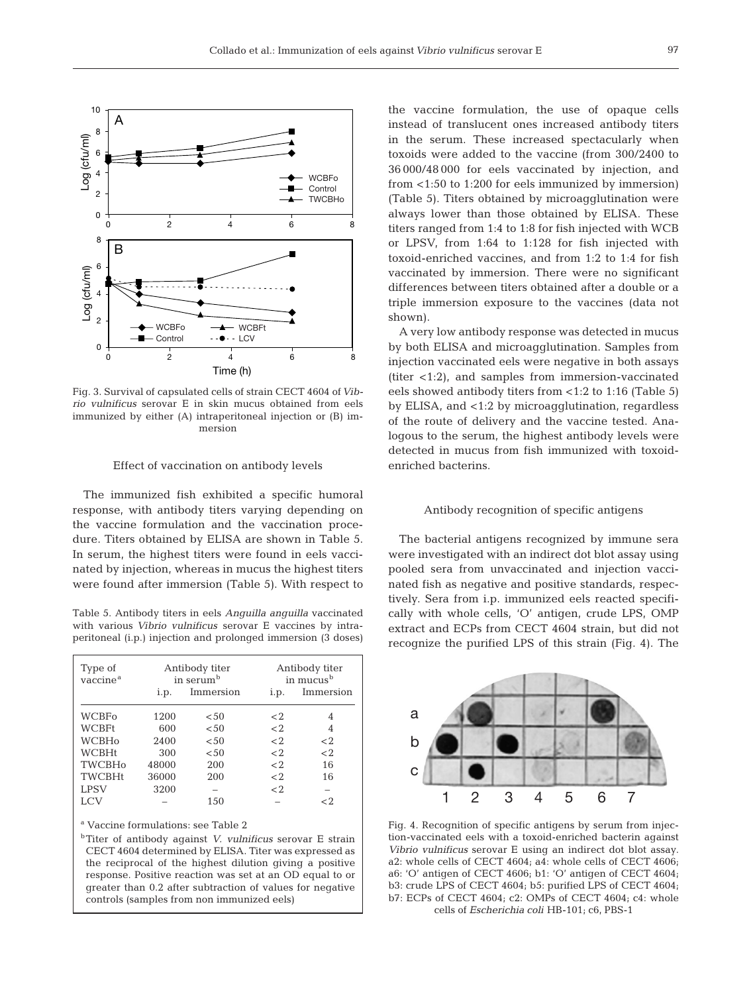

Fig. 3. Survival of capsulated cells of strain CECT 4604 of *Vibrio vulnificus* serovar E in skin mucus obtained from eels immunized by either (A) intraperitoneal injection or (B) immersion

#### Effect of vaccination on antibody levels

The immunized fish exhibited a specific humoral response, with antibody titers varying depending on the vaccine formulation and the vaccination procedure. Titers obtained by ELISA are shown in Table 5. In serum, the highest titers were found in eels vaccinated by injection, whereas in mucus the highest titers were found after immersion (Table 5). With respect to

Table 5. Antibody titers in eels *Anguilla anguilla* vaccinated with various *Vibrio vulnificus* serovar E vaccines by intraperitoneal (i.p.) injection and prolonged immersion (3 doses)

| Type of<br>vaccine <sup>a</sup> |       | Antibody titer<br>in serum <sup>b</sup> |                | Antibody titer<br>in mucus <sup>b</sup> |  |
|---------------------------------|-------|-----------------------------------------|----------------|-----------------------------------------|--|
|                                 | i.p.  | Immersion                               | i.p.           | Immersion                               |  |
| WCBFo                           | 1200  | < 50                                    | $\mathord{<}2$ |                                         |  |
| WCBFt                           | 600   | ${<}50$                                 | $\langle$ 2.   | 4                                       |  |
| WCBHo                           | 2400  | < 50                                    | $\langle$ 2.   | $<$ 2                                   |  |
| WCBHt                           | 300   | < 50                                    | $\langle$ 2.   | $<$ 2                                   |  |
| <b>TWCBHo</b>                   | 48000 | 200                                     | $\langle$ 2.   | 16                                      |  |
| <b>TWCBHt</b>                   | 36000 | 200                                     | $\langle$ 2.   | 16                                      |  |
| <b>LPSV</b>                     | 3200  |                                         | $\langle$ 2.   |                                         |  |
| LCV                             |       | 150                                     |                | - 2                                     |  |

<sup>a</sup> Vaccine formulations: see Table 2

bTiter of antibody against *V. vulnificus* serovar E strain CECT 4604 determined by ELISA. Titer was expressed as the reciprocal of the highest dilution giving a positive response. Positive reaction was set at an OD equal to or greater than 0.2 after subtraction of values for negative controls (samples from non immunized eels)

the vaccine formulation, the use of opaque cells instead of translucent ones increased antibody titers in the serum. These increased spectacularly when toxoids were added to the vaccine (from 300/2400 to 36 000/48 000 for eels vaccinated by injection, and from <1:50 to 1:200 for eels immunized by immersion) (Table 5). Titers obtained by microagglutination were always lower than those obtained by ELISA. These titers ranged from 1:4 to 1:8 for fish injected with WCB or LPSV, from 1:64 to 1:128 for fish injected with toxoid-enriched vaccines, and from 1:2 to 1:4 for fish vaccinated by immersion. There were no significant differences between titers obtained after a double or a triple immersion exposure to the vaccines (data not shown).

A very low antibody response was detected in mucus by both ELISA and microagglutination. Samples from injection vaccinated eels were negative in both assays (titer <1:2), and samples from immersion-vaccinated eels showed antibody titers from <1:2 to 1:16 (Table 5) by ELISA, and <1:2 by microagglutination, regardless of the route of delivery and the vaccine tested. Analogous to the serum, the highest antibody levels were detected in mucus from fish immunized with toxoidenriched bacterins.

### Antibody recognition of specific antigens

The bacterial antigens recognized by immune sera were investigated with an indirect dot blot assay using pooled sera from unvaccinated and injection vaccinated fish as negative and positive standards, respectively. Sera from i.p. immunized eels reacted specifically with whole cells, 'O' antigen, crude LPS, OMP extract and ECPs from CECT 4604 strain, but did not recognize the purified LPS of this strain (Fig. 4). The



Fig. 4. Recognition of specific antigens by serum from injection-vaccinated eels with a toxoid-enriched bacterin against *Vibrio vulnificus* serovar E using an indirect dot blot assay. a2: whole cells of CECT 4604; a4: whole cells of CECT 4606; a6: 'O' antigen of CECT 4606; b1: 'O' antigen of CECT 4604; b3: crude LPS of CECT 4604; b5: purified LPS of CECT 4604; b7: ECPs of CECT 4604; c2: OMPs of CECT 4604; c4: whole cells of *Escherichia coli* HB-101; c6, PBS-1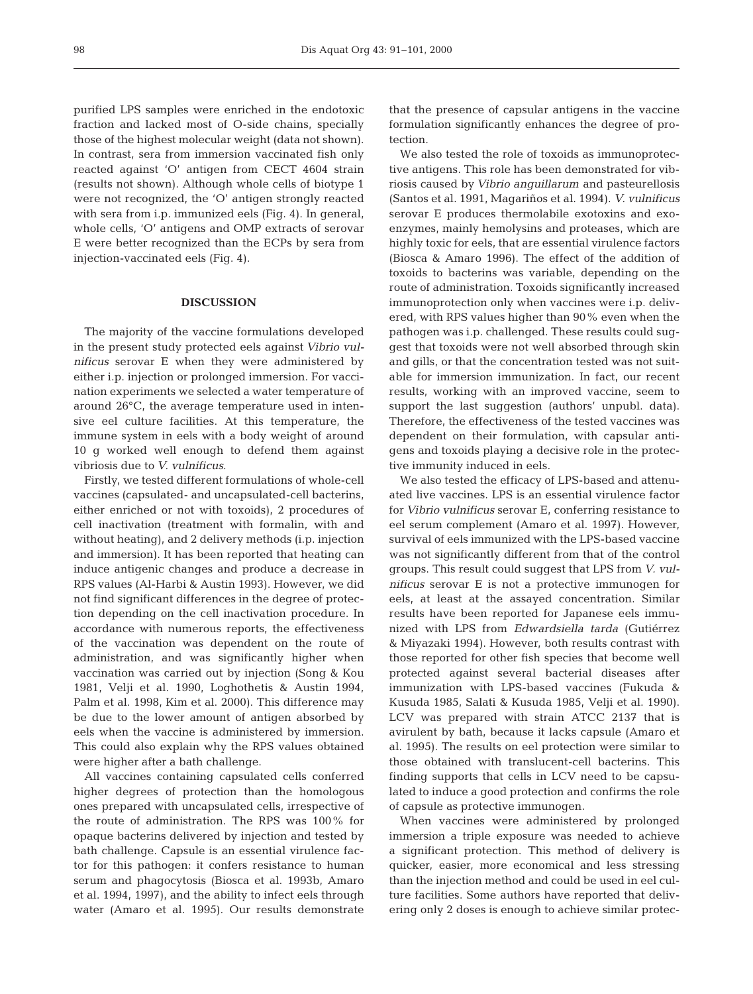purified LPS samples were enriched in the endotoxic fraction and lacked most of O-side chains, specially those of the highest molecular weight (data not shown). In contrast, sera from immersion vaccinated fish only reacted against 'O' antigen from CECT 4604 strain (results not shown). Although whole cells of biotype 1 were not recognized, the 'O' antigen strongly reacted with sera from i.p. immunized eels (Fig. 4). In general, whole cells, 'O' antigens and OMP extracts of serovar E were better recognized than the ECPs by sera from injection-vaccinated eels (Fig. 4).

# **DISCUSSION**

The majority of the vaccine formulations developed in the present study protected eels against *Vibrio vulnificus* serovar E when they were administered by either i.p. injection or prolonged immersion. For vaccination experiments we selected a water temperature of around 26°C, the average temperature used in intensive eel culture facilities. At this temperature, the immune system in eels with a body weight of around 10 g worked well enough to defend them against vibriosis due to *V. vulnificus*.

Firstly, we tested different formulations of whole-cell vaccines (capsulated- and uncapsulated-cell bacterins, either enriched or not with toxoids), 2 procedures of cell inactivation (treatment with formalin, with and without heating), and 2 delivery methods (i.p. injection and immersion). It has been reported that heating can induce antigenic changes and produce a decrease in RPS values (Al-Harbi & Austin 1993). However, we did not find significant differences in the degree of protection depending on the cell inactivation procedure. In accordance with numerous reports, the effectiveness of the vaccination was dependent on the route of administration, and was significantly higher when vaccination was carried out by injection (Song & Kou 1981, Velji et al. 1990, Loghothetis & Austin 1994, Palm et al. 1998, Kim et al. 2000). This difference may be due to the lower amount of antigen absorbed by eels when the vaccine is administered by immersion. This could also explain why the RPS values obtained were higher after a bath challenge.

All vaccines containing capsulated cells conferred higher degrees of protection than the homologous ones prepared with uncapsulated cells, irrespective of the route of administration. The RPS was 100% for opaque bacterins delivered by injection and tested by bath challenge. Capsule is an essential virulence factor for this pathogen: it confers resistance to human serum and phagocytosis (Biosca et al. 1993b, Amaro et al. 1994, 1997), and the ability to infect eels through water (Amaro et al. 1995). Our results demonstrate

that the presence of capsular antigens in the vaccine formulation significantly enhances the degree of protection.

We also tested the role of toxoids as immunoprotective antigens. This role has been demonstrated for vibriosis caused by *Vibrio anguillarum* and pasteurellosis (Santos et al. 1991, Magariños et al. 1994). *V. vulnificus* serovar E produces thermolabile exotoxins and exoenzymes, mainly hemolysins and proteases, which are highly toxic for eels, that are essential virulence factors (Biosca & Amaro 1996). The effect of the addition of toxoids to bacterins was variable, depending on the route of administration. Toxoids significantly increased immunoprotection only when vaccines were i.p. delivered, with RPS values higher than 90% even when the pathogen was i.p. challenged. These results could suggest that toxoids were not well absorbed through skin and gills, or that the concentration tested was not suitable for immersion immunization. In fact, our recent results, working with an improved vaccine, seem to support the last suggestion (authors' unpubl. data). Therefore, the effectiveness of the tested vaccines was dependent on their formulation, with capsular antigens and toxoids playing a decisive role in the protective immunity induced in eels.

We also tested the efficacy of LPS-based and attenuated live vaccines. LPS is an essential virulence factor for *Vibrio vulnificus* serovar E, conferring resistance to eel serum complement (Amaro et al. 1997). However, survival of eels immunized with the LPS-based vaccine was not significantly different from that of the control groups. This result could suggest that LPS from *V. vulnificus* serovar E is not a protective immunogen for eels, at least at the assayed concentration. Similar results have been reported for Japanese eels immunized with LPS from *Edwardsiella tarda* (Gutiérrez & Miyazaki 1994). However, both results contrast with those reported for other fish species that become well protected against several bacterial diseases after immunization with LPS-based vaccines (Fukuda & Kusuda 1985, Salati & Kusuda 1985, Velji et al. 1990). LCV was prepared with strain ATCC 2137 that is avirulent by bath, because it lacks capsule (Amaro et al. 1995). The results on eel protection were similar to those obtained with translucent-cell bacterins. This finding supports that cells in LCV need to be capsulated to induce a good protection and confirms the role of capsule as protective immunogen.

When vaccines were administered by prolonged immersion a triple exposure was needed to achieve a significant protection. This method of delivery is quicker, easier, more economical and less stressing than the injection method and could be used in eel culture facilities. Some authors have reported that delivering only 2 doses is enough to achieve similar protec-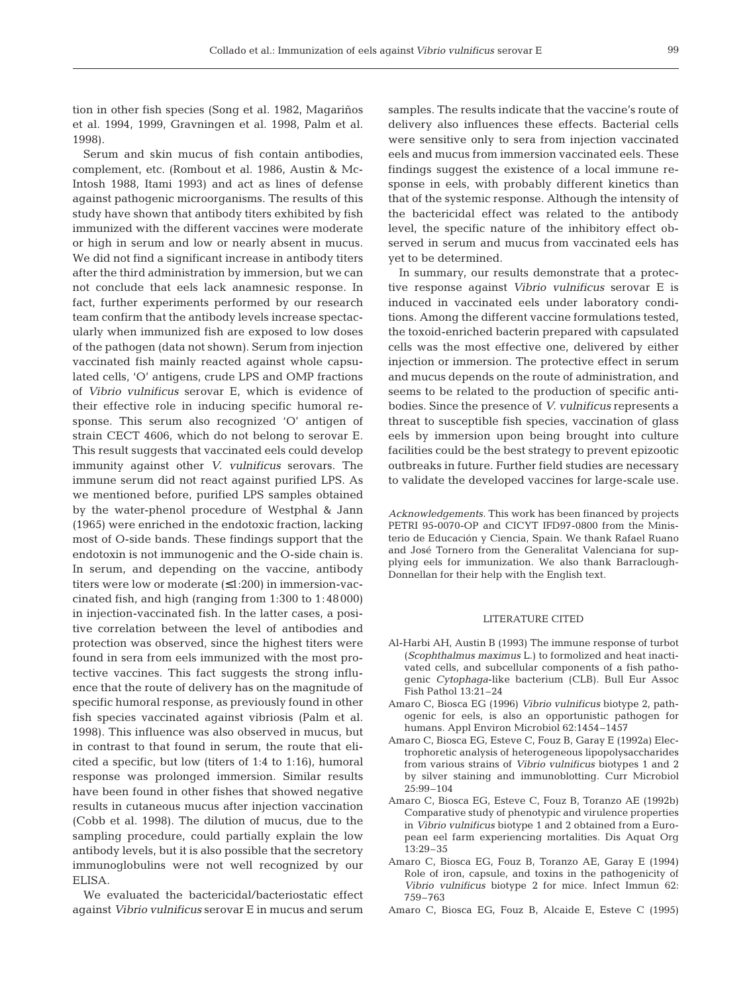**99** 

tion in other fish species (Song et al. 1982, Magariños et al. 1994, 1999, Gravningen et al. 1998, Palm et al. 1998).

Serum and skin mucus of fish contain antibodies, complement, etc. (Rombout et al. 1986, Austin & Mc-Intosh 1988, Itami 1993) and act as lines of defense against pathogenic microorganisms. The results of this study have shown that antibody titers exhibited by fish immunized with the different vaccines were moderate or high in serum and low or nearly absent in mucus. We did not find a significant increase in antibody titers after the third administration by immersion, but we can not conclude that eels lack anamnesic response. In fact, further experiments performed by our research team confirm that the antibody levels increase spectacularly when immunized fish are exposed to low doses of the pathogen (data not shown). Serum from injection vaccinated fish mainly reacted against whole capsulated cells, 'O' antigens, crude LPS and OMP fractions of *Vibrio vulnificus* serovar E, which is evidence of their effective role in inducing specific humoral response. This serum also recognized 'O' antigen of strain CECT 4606, which do not belong to serovar E. This result suggests that vaccinated eels could develop immunity against other *V. vulnificus* serovars. The immune serum did not react against purified LPS. As we mentioned before, purified LPS samples obtained by the water-phenol procedure of Westphal & Jann (1965) were enriched in the endotoxic fraction, lacking most of O-side bands. These findings support that the endotoxin is not immunogenic and the O-side chain is. In serum, and depending on the vaccine, antibody titers were low or moderate (≤1:200) in immersion-vaccinated fish, and high (ranging from 1:300 to 1:48000) in injection-vaccinated fish. In the latter cases, a positive correlation between the level of antibodies and protection was observed, since the highest titers were found in sera from eels immunized with the most protective vaccines. This fact suggests the strong influence that the route of delivery has on the magnitude of specific humoral response, as previously found in other fish species vaccinated against vibriosis (Palm et al. 1998). This influence was also observed in mucus, but in contrast to that found in serum, the route that elicited a specific, but low (titers of 1:4 to 1:16), humoral response was prolonged immersion. Similar results have been found in other fishes that showed negative results in cutaneous mucus after injection vaccination (Cobb et al. 1998). The dilution of mucus, due to the sampling procedure, could partially explain the low antibody levels, but it is also possible that the secretory immunoglobulins were not well recognized by our ELISA.

We evaluated the bactericidal/bacteriostatic effect against *Vibrio vulnificus* serovar E in mucus and serum samples. The results indicate that the vaccine's route of delivery also influences these effects. Bacterial cells were sensitive only to sera from injection vaccinated eels and mucus from immersion vaccinated eels. These findings suggest the existence of a local immune response in eels, with probably different kinetics than that of the systemic response. Although the intensity of the bactericidal effect was related to the antibody level, the specific nature of the inhibitory effect observed in serum and mucus from vaccinated eels has yet to be determined.

In summary, our results demonstrate that a protective response against *Vibrio vulnificus* serovar E is induced in vaccinated eels under laboratory conditions. Among the different vaccine formulations tested, the toxoid-enriched bacterin prepared with capsulated cells was the most effective one, delivered by either injection or immersion. The protective effect in serum and mucus depends on the route of administration, and seems to be related to the production of specific antibodies. Since the presence of *V. vulnificus* represents a threat to susceptible fish species, vaccination of glass eels by immersion upon being brought into culture facilities could be the best strategy to prevent epizootic outbreaks in future. Further field studies are necessary to validate the developed vaccines for large-scale use.

*Acknowledgements.* This work has been financed by projects PETRI 95-0070-OP and CICYT IFD97-0800 from the Ministerio de Educación y Ciencia, Spain. We thank Rafael Ruano and José Tornero from the Generalitat Valenciana for supplying eels for immunization. We also thank Barraclough-Donnellan for their help with the English text.

#### LITERATURE CITED

- Al-Harbi AH, Austin B (1993) The immune response of turbot (*Scophthalmus maximus* L.) to formolized and heat inactivated cells, and subcellular components of a fish pathogenic *Cytophaga*-like bacterium (CLB). Bull Eur Assoc Fish Pathol 13:21–24
- Amaro C, Biosca EG (1996) *Vibrio vulnificus* biotype 2, pathogenic for eels, is also an opportunistic pathogen for humans. Appl Environ Microbiol 62:1454–1457
- Amaro C, Biosca EG, Esteve C, Fouz B, Garay E (1992a) Electrophoretic analysis of heterogeneous lipopolysaccharides from various strains of *Vibrio vulnificus* biotypes 1 and 2 by silver staining and immunoblotting. Curr Microbiol 25:99–104
- Amaro C, Biosca EG, Esteve C, Fouz B, Toranzo AE (1992b) Comparative study of phenotypic and virulence properties in *Vibrio vulnificus* biotype 1 and 2 obtained from a European eel farm experiencing mortalities. Dis Aquat Org 13:29–35
- Amaro C, Biosca EG, Fouz B, Toranzo AE, Garay E (1994) Role of iron, capsule, and toxins in the pathogenicity of *Vibrio vulnificus* biotype 2 for mice. Infect Immun 62: 759–763
- Amaro C, Biosca EG, Fouz B, Alcaide E, Esteve C (1995)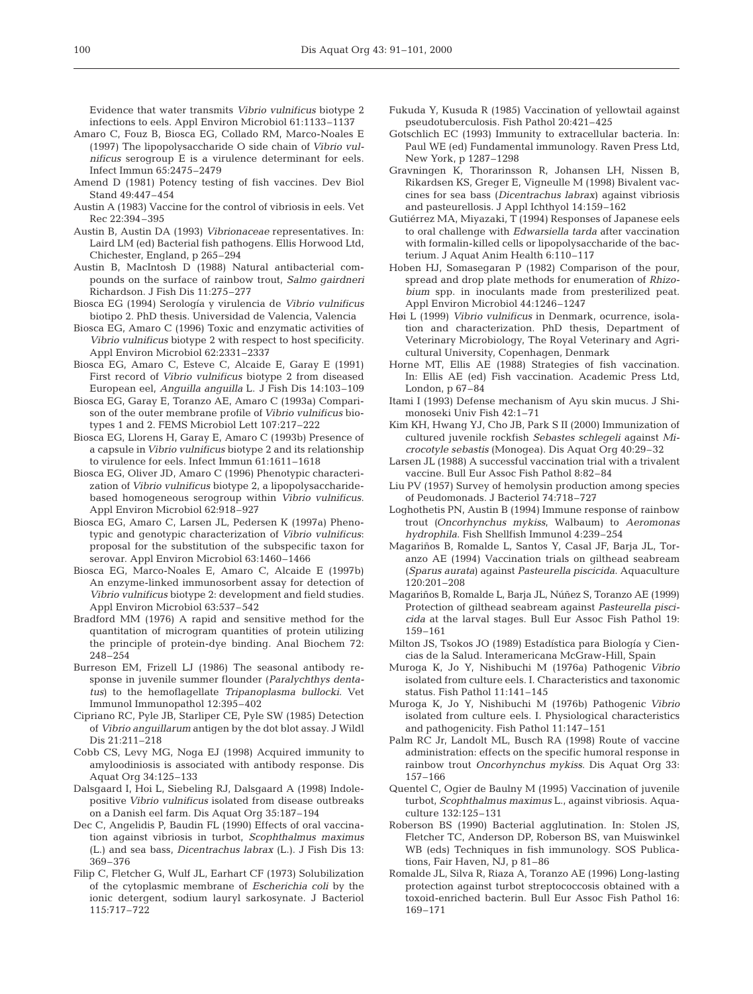Evidence that water transmits *Vibrio vulnificus* biotype 2 infections to eels. Appl Environ Microbiol 61:1133–1137

- Amaro C, Fouz B, Biosca EG, Collado RM, Marco-Noales E (1997) The lipopolysaccharide O side chain of *Vibrio vulnificus* serogroup E is a virulence determinant for eels. Infect Immun 65:2475–2479
- Amend D (1981) Potency testing of fish vaccines. Dev Biol Stand 49:447–454
- Austin A (1983) Vaccine for the control of vibriosis in eels. Vet Rec 22:394–395
- Austin B, Austin DA (1993) *Vibrionaceae* representatives. In: Laird LM (ed) Bacterial fish pathogens. Ellis Horwood Ltd, Chichester, England, p 265–294
- Austin B, MacIntosh D (1988) Natural antibacterial compounds on the surface of rainbow trout, *Salmo gairdneri* Richardson. J Fish Dis 11:275–277
- Biosca EG (1994) Serología y virulencia de *Vibrio vulnificus* biotipo 2. PhD thesis. Universidad de Valencia, Valencia
- Biosca EG, Amaro C (1996) Toxic and enzymatic activities of *Vibrio vulnificus* biotype 2 with respect to host specificity. Appl Environ Microbiol 62:2331–2337
- Biosca EG, Amaro C, Esteve C, Alcaide E, Garay E (1991) First record of *Vibrio vulnificus* biotype 2 from diseased European eel, *Anguilla anguilla* L. J Fish Dis 14:103–109
- Biosca EG, Garay E, Toranzo AE, Amaro C (1993a) Comparison of the outer membrane profile of *Vibrio vulnificus* biotypes 1 and 2. FEMS Microbiol Lett 107:217–222
- Biosca EG, Llorens H, Garay E, Amaro C (1993b) Presence of a capsule in*Vibrio vulnificus* biotype 2 and its relationship to virulence for eels. Infect Immun 61:1611–1618
- Biosca EG, Oliver JD, Amaro C (1996) Phenotypic characterization of *Vibrio vulnificus* biotype 2, a lipopolysaccharidebased homogeneous serogroup within *Vibrio vulnificus*. Appl Environ Microbiol 62:918–927
- Biosca EG, Amaro C, Larsen JL, Pedersen K (1997a) Phenotypic and genotypic characterization of *Vibrio vulnificus*: proposal for the substitution of the subspecific taxon for serovar. Appl Environ Microbiol 63:1460–1466
- Biosca EG, Marco-Noales E, Amaro C, Alcaide E (1997b) An enzyme-linked immunosorbent assay for detection of *Vibrio vulnificus* biotype 2: development and field studies. Appl Environ Microbiol 63:537–542
- Bradford MM (1976) A rapid and sensitive method for the quantitation of microgram quantities of protein utilizing the principle of protein-dye binding. Anal Biochem 72: 248–254
- Burreson EM, Frizell LJ (1986) The seasonal antibody response in juvenile summer flounder (*Paralychthys dentatus*) to the hemoflagellate *Tripanoplasma bullocki*. Vet Immunol Immunopathol 12:395–402
- Cipriano RC, Pyle JB, Starliper CE, Pyle SW (1985) Detection of *Vibrio anguillarum* antigen by the dot blot assay. J Wildl Dis 21:211–218
- Cobb CS, Levy MG, Noga EJ (1998) Acquired immunity to amyloodiniosis is associated with antibody response. Dis Aquat Org 34:125–133
- Dalsgaard I, Hoi L, Siebeling RJ, Dalsgaard A (1998) Indolepositive *Vibrio vulnificus* isolated from disease outbreaks on a Danish eel farm. Dis Aquat Org 35:187–194
- Dec C, Angelidis P, Baudin FL (1990) Effects of oral vaccination against vibriosis in turbot, *Scophthalmus maximus* (L.) and sea bass, *Dicentrachus labrax* (L.). J Fish Dis 13: 369–376
- Filip C, Fletcher G, Wulf JL, Earhart CF (1973) Solubilization of the cytoplasmic membrane of *Escherichia coli* by the ionic detergent, sodium lauryl sarkosynate. J Bacteriol 115:717–722
- Fukuda Y, Kusuda R (1985) Vaccination of yellowtail against pseudotuberculosis. Fish Pathol 20:421–425
- Gotschlich EC (1993) Immunity to extracellular bacteria. In: Paul WE (ed) Fundamental immunology. Raven Press Ltd, New York, p 1287–1298
- Gravningen K, Thorarinsson R, Johansen LH, Nissen B, Rikardsen KS, Greger E, Vigneulle M (1998) Bivalent vaccines for sea bass (*Dicentrachus labrax*) against vibriosis and pasteurellosis. J Appl Ichthyol 14:159–162
- Gutiérrez MA, Miyazaki, T (1994) Responses of Japanese eels to oral challenge with *Edwarsiella tarda* after vaccination with formalin-killed cells or lipopolysaccharide of the bacterium. J Aquat Anim Health 6:110–117
- Hoben HJ, Somasegaran P (1982) Comparison of the pour, spread and drop plate methods for enumeration of *Rhizobium* spp. in inoculants made from presterilized peat. Appl Environ Microbiol 44:1246–1247
- Høi L (1999) *Vibrio vulnificus* in Denmark, ocurrence, isolation and characterization. PhD thesis, Department of Veterinary Microbiology, The Royal Veterinary and Agricultural University, Copenhagen, Denmark
- Horne MT, Ellis AE (1988) Strategies of fish vaccination. In: Ellis AE (ed) Fish vaccination. Academic Press Ltd, London, p 67–84
- Itami I (1993) Defense mechanism of Ayu skin mucus. J Shimonoseki Univ Fish 42:1–71
- Kim KH, Hwang YJ, Cho JB, Park S II (2000) Immunization of cultured juvenile rockfish *Sebastes schlegeli* against *Microcotyle sebastis* (Monogea). Dis Aquat Org 40:29–32
- Larsen JL (1988) A successful vaccination trial with a trivalent vaccine. Bull Eur Assoc Fish Pathol 8:82–84
- Liu PV (1957) Survey of hemolysin production among species of Peudomonads. J Bacteriol 74:718–727
- Loghothetis PN, Austin B (1994) Immune response of rainbow trout (*Oncorhynchus mykiss*, Walbaum) to *Aeromonas hydrophila*. Fish Shellfish Immunol 4:239–254
- Magariños B, Romalde L, Santos Y, Casal JF, Barja JL, Toranzo AE (1994) Vaccination trials on gilthead seabream (*Sparus aurata*) against *Pasteurella piscicida*. Aquaculture 120:201–208
- Magariños B, Romalde L, Barja JL, Núñez S, Toranzo AE (1999) Protection of gilthead seabream against *Pasteurella piscicida* at the larval stages. Bull Eur Assoc Fish Pathol 19: 159–161
- Milton JS, Tsokos JO (1989) Estadística para Biología y Ciencias de la Salud. Interamericana McGraw-Hill, Spain
- Muroga K, Jo Y, Nishibuchi M (1976a) Pathogenic *Vibrio* isolated from culture eels. I. Characteristics and taxonomic status. Fish Pathol 11:141–145
- Muroga K, Jo Y, Nishibuchi M (1976b) Pathogenic *Vibrio* isolated from culture eels. I. Physiological characteristics and pathogenicity. Fish Pathol 11:147–151
- Palm RC Jr, Landolt ML, Busch RA (1998) Route of vaccine administration: effects on the specific humoral response in rainbow trout *Oncorhynchus mykiss*. Dis Aquat Org 33: 157–166
- Quentel C, Ogier de Baulny M (1995) Vaccination of juvenile turbot, *Scophthalmus maximus* L., against vibriosis. Aquaculture 132:125–131
- Roberson BS (1990) Bacterial agglutination. In: Stolen JS, Fletcher TC, Anderson DP, Roberson BS, van Muiswinkel WB (eds) Techniques in fish immunology. SOS Publications, Fair Haven, NJ, p 81–86
- Romalde JL, Silva R, Riaza A, Toranzo AE (1996) Long-lasting protection against turbot streptococcosis obtained with a toxoid-enriched bacterin. Bull Eur Assoc Fish Pathol 16: 169–171